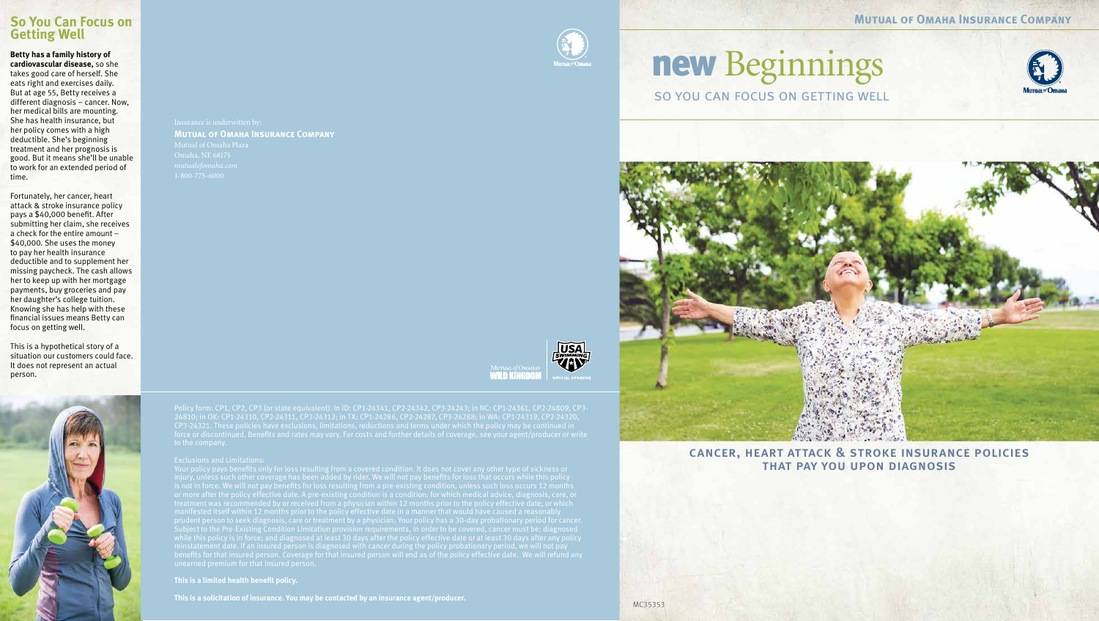**Mutual of Omaha Insurance Company**

MC35353

## **Mutual of Omaha Insurance Company**







## new Beginnings so you can focus on getting well





**This is a limited health benefit policy.**

**This is a solicitation of insurance. You may be contacted by an insurance agent/producer.**



cancer, heart attack & stroke insurance policies that pay you upon diagnosis

#### **So You Can Focus on Getting Well**

**Betty has a family history of cardiovascular disease,** so she takes good care of herself. She eats right and exercises daily. But at age 55, Betty receives a different diagnosis – cancer. Now, her medical bills are mounting. She has health insurance, but her policy comes with a high deductible. She's beginning treatment and her prognosis is good. But it means she'll be unable to work for an extended period of time.

Fortunately, her cancer, heart attack & stroke insurance policy pays a \$40,000 benefit. After submitting her claim, she receives a check for the entire amount – \$40,000. She uses the money to pay her health insurance deductible and to supplement her missing paycheck. The cash allows her to keep up with her mortgage payments, buy groceries and pay her daughter's college tuition. Knowing she has help with these financial issues means Betty can focus on getting well.

This is a hypothetical story of a situation our customers could face. It does not represent an actual person.